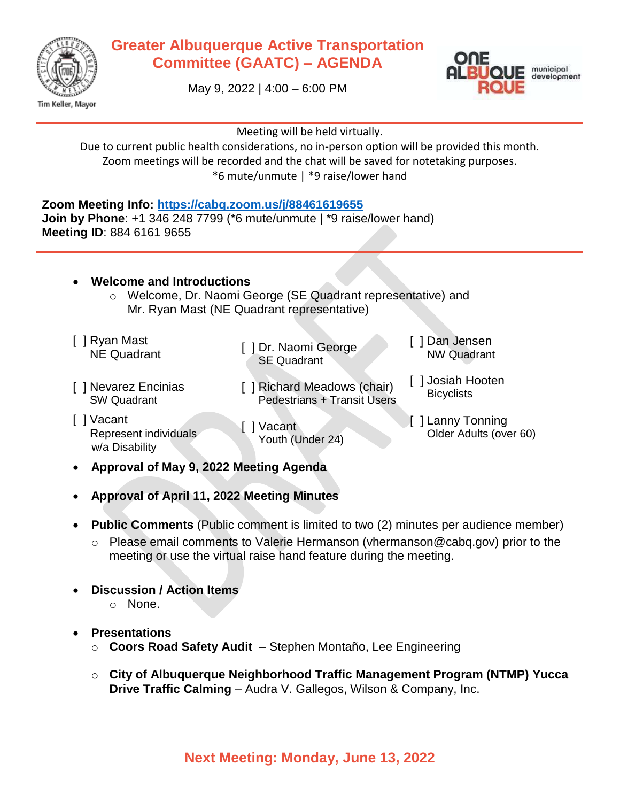

## **Greater Albuquerque Active Transportation Committee (GAATC) – AGENDA**

May 9, 2022 | 4:00 – 6:00 PM



Meeting will be held virtually.

Due to current public health considerations, no in-person option will be provided this month. Zoom meetings will be recorded and the chat will be saved for notetaking purposes. \*6 mute/unmute | \*9 raise/lower hand

**Zoom Meeting Info:<https://cabq.zoom.us/j/88461619655>**

**Join by Phone**: +1 346 248 7799 (\*6 mute/unmute | \*9 raise/lower hand) **Meeting ID**: 884 6161 9655

## **Welcome and Introductions**

- o Welcome, Dr. Naomi George (SE Quadrant representative) and Mr. Ryan Mast (NE Quadrant representative)
- [ ] Ryan Mast

Ne Quadrant [ ] Dr. Naomi George SE Quadrant

[ ] Dan Jensen NW Quadrant

[ ] Josiah Hooten **Bicyclists** 

- [ ] Nevarez Encinias SW Quadrant
- [ ] Vacant Represent individuals w/a Disability

[ ] Vacant Youth (Under 24)

[ ] Richard Meadows (chair) Pedestrians + Transit Users

> [ ] Lanny Tonning Older Adults (over 60)

- **Approval of May 9, 2022 Meeting Agenda**
- **Approval of April 11, 2022 Meeting Minutes**
- **Public Comments** (Public comment is limited to two (2) minutes per audience member)
	- o Please email comments to Valerie Hermanson (vhermanson@cabq.gov) prior to the meeting or use the virtual raise hand feature during the meeting.
- **Discussion / Action Items**
	- o None.
- **Presentations**
	- o **Coors Road Safety Audit** Stephen Montaño, Lee Engineering
	- o **City of Albuquerque Neighborhood Traffic Management Program (NTMP) Yucca Drive Traffic Calming** – Audra V. Gallegos, Wilson & Company, Inc.